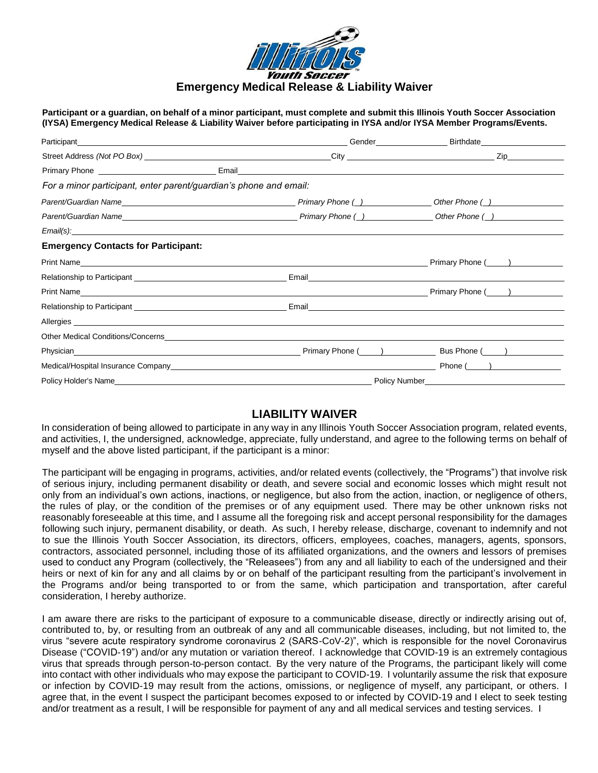

**Emergency Medical Release & Liability Waiver**

Participant or a quardian, on behalf of a minor participant, must complete and submit this Illinois Youth Soccer Association **(IYSA) Emergency Medical Release & Liability Waiver before participating in IYSA and/or IYSA Member Programs/Events.**

| Participant experience and the contract of the contract of the contract of the contract of the contract of the contract of the contract of the contract of the contract of the contract of the contract of the contract of the | Gender Birthdate                                                                                                    |  |
|--------------------------------------------------------------------------------------------------------------------------------------------------------------------------------------------------------------------------------|---------------------------------------------------------------------------------------------------------------------|--|
|                                                                                                                                                                                                                                | Zip                                                                                                                 |  |
|                                                                                                                                                                                                                                |                                                                                                                     |  |
| For a minor participant, enter parent/guardian's phone and email:                                                                                                                                                              |                                                                                                                     |  |
|                                                                                                                                                                                                                                | Other Phone ( )                                                                                                     |  |
| Primary Phone ( _) Deter Phone ( _) Deter Phone ( _) Deter Phone ( _) Deter Phone ( _)                                                                                                                                         |                                                                                                                     |  |
|                                                                                                                                                                                                                                |                                                                                                                     |  |
| <b>Emergency Contacts for Participant:</b>                                                                                                                                                                                     |                                                                                                                     |  |
| Print Name                                                                                                                                                                                                                     | Primary Phone (Complete and Control of Trimary Phone (Complete and Control of Trimary Phone 2014)                   |  |
|                                                                                                                                                                                                                                |                                                                                                                     |  |
|                                                                                                                                                                                                                                | Primary Phone (All Allen Control Control Control Control Control Control Control Control Control Control Control Co |  |
|                                                                                                                                                                                                                                |                                                                                                                     |  |
|                                                                                                                                                                                                                                |                                                                                                                     |  |
|                                                                                                                                                                                                                                |                                                                                                                     |  |
|                                                                                                                                                                                                                                |                                                                                                                     |  |
|                                                                                                                                                                                                                                | Phone ( ____ )                                                                                                      |  |
|                                                                                                                                                                                                                                | Policy Number Number Number Number Number Number Number Number Number Number Number Number Number Number Number     |  |

## **LIABILITY WAIVER**

In consideration of being allowed to participate in any way in any Illinois Youth Soccer Association program, related events, and activities, I, the undersigned, acknowledge, appreciate, fully understand, and agree to the following terms on behalf of myself and the above listed participant, if the participant is a minor:

The participant will be engaging in programs, activities, and/or related events (collectively, the "Programs") that involve risk of serious injury, including permanent disability or death, and severe social and economic losses which might result not only from an individual's own actions, inactions, or negligence, but also from the action, inaction, or negligence of others, the rules of play, or the condition of the premises or of any equipment used. There may be other unknown risks not reasonably foreseeable at this time, and I assume all the foregoing risk and accept personal responsibility for the damages following such injury, permanent disability, or death. As such, I hereby release, discharge, covenant to indemnify and not to sue the Illinois Youth Soccer Association, its directors, officers, employees, coaches, managers, agents, sponsors, contractors, associated personnel, including those of its affiliated organizations, and the owners and lessors of premises used to conduct any Program (collectively, the "Releasees") from any and all liability to each of the undersigned and their heirs or next of kin for any and all claims by or on behalf of the participant resulting from the participant's involvement in the Programs and/or being transported to or from the same, which participation and transportation, after careful consideration, I hereby authorize.

I am aware there are risks to the participant of exposure to a communicable disease, directly or indirectly arising out of, contributed to, by, or resulting from an outbreak of any and all communicable diseases, including, but not limited to, the virus "severe acute respiratory syndrome coronavirus 2 (SARS-CoV-2)", which is responsible for the novel Coronavirus Disease ("COVID-19") and/or any mutation or variation thereof. I acknowledge that COVID-19 is an extremely contagious virus that spreads through person-to-person contact. By the very nature of the Programs, the participant likely will come into contact with other individuals who may expose the participant to COVID-19. I voluntarily assume the risk that exposure or infection by COVID-19 may result from the actions, omissions, or negligence of myself, any participant, or others. I agree that, in the event I suspect the participant becomes exposed to or infected by COVID-19 and I elect to seek testing and/or treatment as a result, I will be responsible for payment of any and all medical services and testing services. I